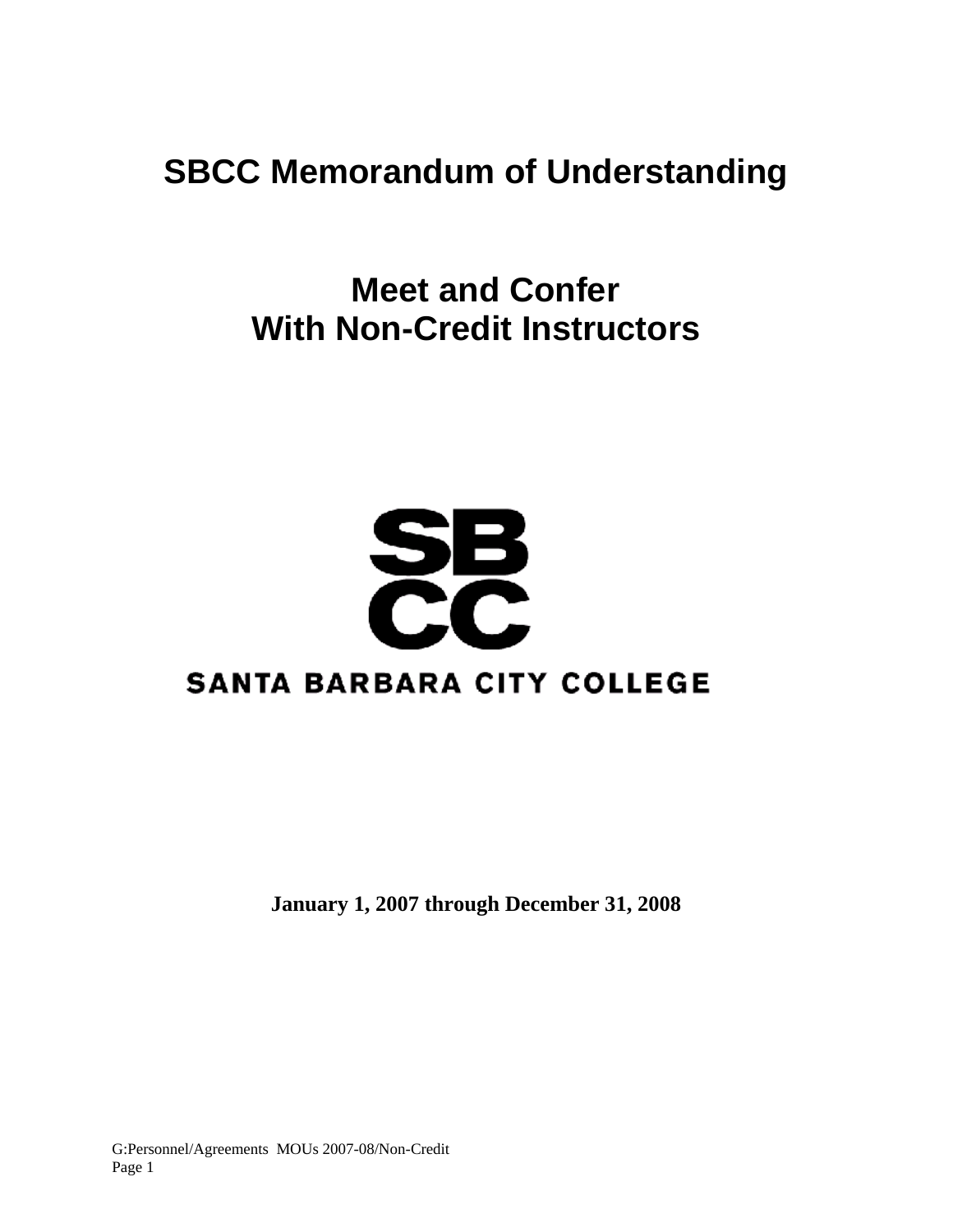## **SBCC Memorandum of Understanding**

 **Meet and Confer With Non-Credit Instructors** 

# **SB**<br>CC **SANTA BARBARA CITY COLLEGE**

**January 1, 2007 through December 31, 2008**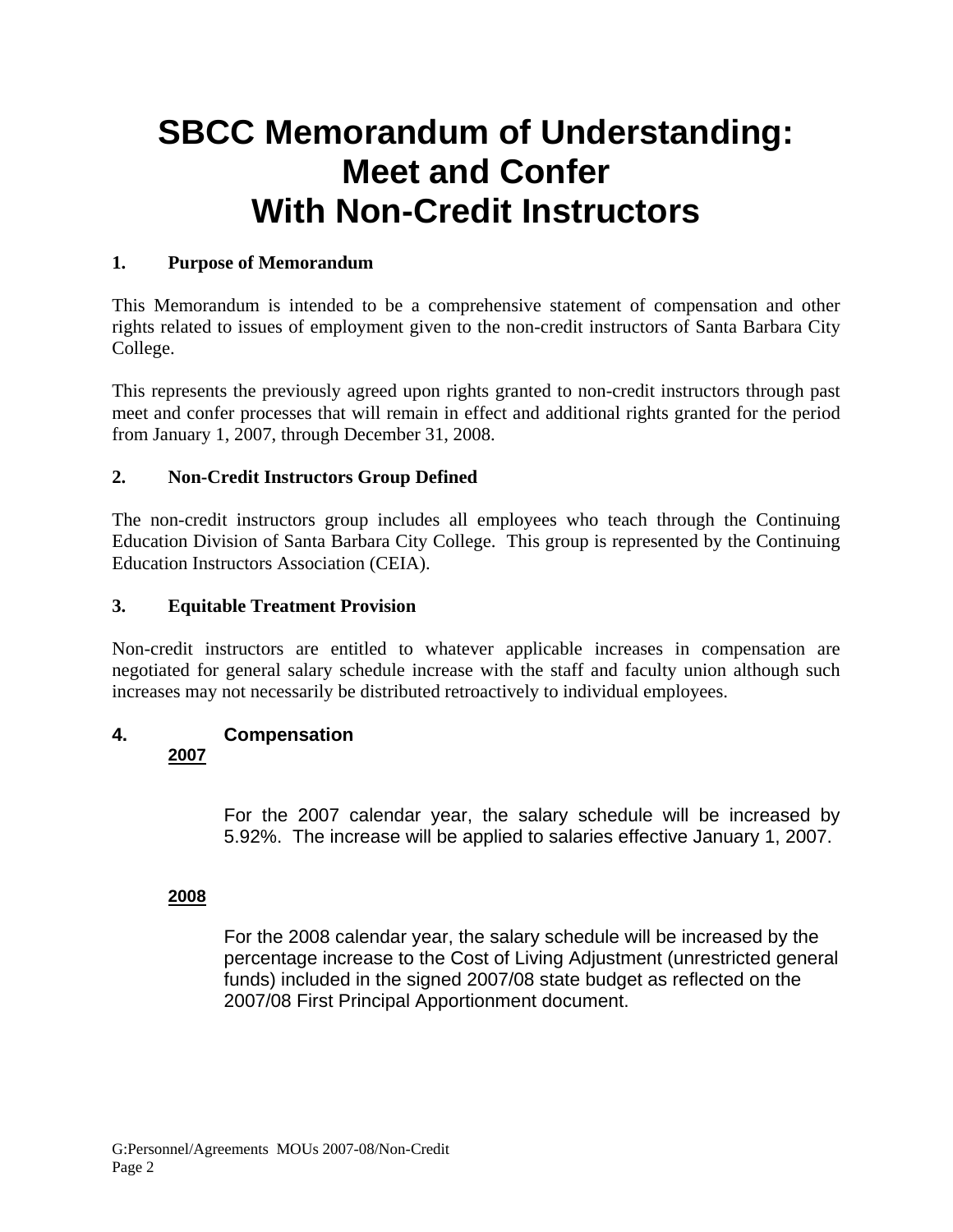## **SBCC Memorandum of Understanding: Meet and Confer With Non-Credit Instructors**

#### **1. Purpose of Memorandum**

This Memorandum is intended to be a comprehensive statement of compensation and other rights related to issues of employment given to the non-credit instructors of Santa Barbara City College.

This represents the previously agreed upon rights granted to non-credit instructors through past meet and confer processes that will remain in effect and additional rights granted for the period from January 1, 2007, through December 31, 2008.

#### **2. Non-Credit Instructors Group Defined**

The non-credit instructors group includes all employees who teach through the Continuing Education Division of Santa Barbara City College. This group is represented by the Continuing Education Instructors Association (CEIA).

#### **3. Equitable Treatment Provision**

Non-credit instructors are entitled to whatever applicable increases in compensation are negotiated for general salary schedule increase with the staff and faculty union although such increases may not necessarily be distributed retroactively to individual employees.

#### **4. Compensation 2007**

For the 2007 calendar year, the salary schedule will be increased by 5.92%. The increase will be applied to salaries effective January 1, 2007.

#### **2008**

For the 2008 calendar year, the salary schedule will be increased by the percentage increase to the Cost of Living Adjustment (unrestricted general funds) included in the signed 2007/08 state budget as reflected on the 2007/08 First Principal Apportionment document.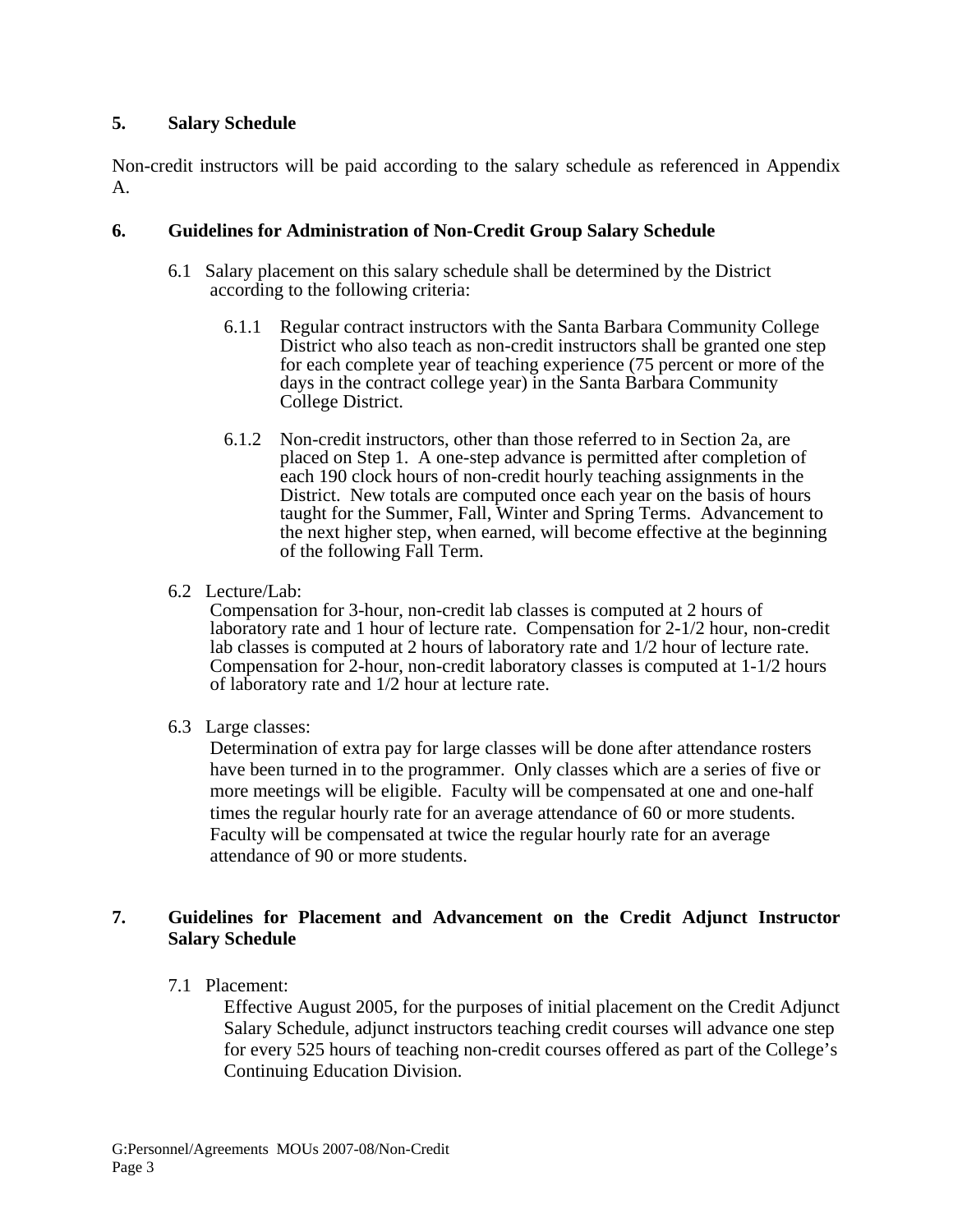#### **5. Salary Schedule**

Non-credit instructors will be paid according to the salary schedule as referenced in Appendix A.

#### **6. Guidelines for Administration of Non-Credit Group Salary Schedule**

- 6.1 Salary placement on this salary schedule shall be determined by the District according to the following criteria:
	- 6.1.1 Regular contract instructors with the Santa Barbara Community College District who also teach as non-credit instructors shall be granted one step for each complete year of teaching experience (75 percent or more of the days in the contract college year) in the Santa Barbara Community College District.
	- 6.1.2 Non-credit instructors, other than those referred to in Section 2a, are placed on Step 1. A one-step advance is permitted after completion of each 190 clock hours of non-credit hourly teaching assignments in the District. New totals are computed once each year on the basis of hours taught for the Summer, Fall, Winter and Spring Terms. Advancement to the next higher step, when earned, will become effective at the beginning of the following Fall Term.
- 6.2 Lecture/Lab:

 Compensation for 3-hour, non-credit lab classes is computed at 2 hours of laboratory rate and 1 hour of lecture rate. Compensation for 2-1/2 hour, non-credit lab classes is computed at 2 hours of laboratory rate and 1/2 hour of lecture rate. Compensation for 2-hour, non-credit laboratory classes is computed at 1-1/2 hours of laboratory rate and 1/2 hour at lecture rate.

6.3 Large classes:

 Determination of extra pay for large classes will be done after attendance rosters have been turned in to the programmer. Only classes which are a series of five or more meetings will be eligible. Faculty will be compensated at one and one-half times the regular hourly rate for an average attendance of 60 or more students. Faculty will be compensated at twice the regular hourly rate for an average attendance of 90 or more students.

#### **7. Guidelines for Placement and Advancement on the Credit Adjunct Instructor Salary Schedule**

7.1 Placement:

Effective August 2005, for the purposes of initial placement on the Credit Adjunct Salary Schedule, adjunct instructors teaching credit courses will advance one step for every 525 hours of teaching non-credit courses offered as part of the College's Continuing Education Division.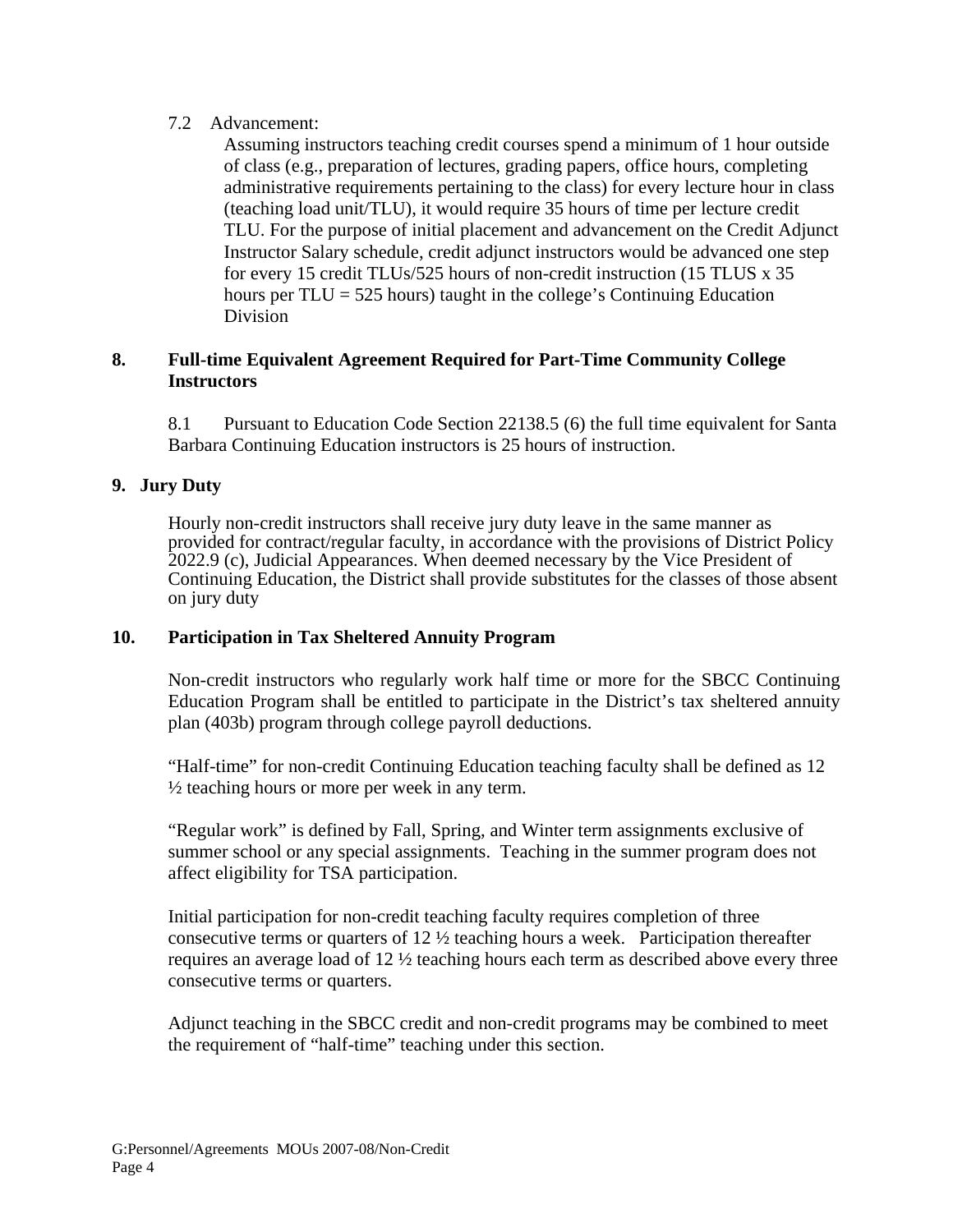#### 7.2 Advancement:

Assuming instructors teaching credit courses spend a minimum of 1 hour outside of class (e.g., preparation of lectures, grading papers, office hours, completing administrative requirements pertaining to the class) for every lecture hour in class (teaching load unit/TLU), it would require 35 hours of time per lecture credit TLU. For the purpose of initial placement and advancement on the Credit Adjunct Instructor Salary schedule, credit adjunct instructors would be advanced one step for every 15 credit TLUs/525 hours of non-credit instruction (15 TLUS x 35 hours per  $TLU = 525$  hours) taught in the college's Continuing Education Division

#### **8. Full-time Equivalent Agreement Required for Part-Time Community College Instructors**

8.1 Pursuant to Education Code Section 22138.5 (6) the full time equivalent for Santa Barbara Continuing Education instructors is 25 hours of instruction.

#### **9. Jury Duty**

Hourly non-credit instructors shall receive jury duty leave in the same manner as provided for contract/regular faculty, in accordance with the provisions of District Policy 2022.9 (c), Judicial Appearances. When deemed necessary by the Vice President of Continuing Education, the District shall provide substitutes for the classes of those absent on jury duty

#### **10. Participation in Tax Sheltered Annuity Program**

Non-credit instructors who regularly work half time or more for the SBCC Continuing Education Program shall be entitled to participate in the District's tax sheltered annuity plan (403b) program through college payroll deductions.

"Half-time" for non-credit Continuing Education teaching faculty shall be defined as 12  $\frac{1}{2}$  teaching hours or more per week in any term.

"Regular work" is defined by Fall, Spring, and Winter term assignments exclusive of summer school or any special assignments. Teaching in the summer program does not affect eligibility for TSA participation.

Initial participation for non-credit teaching faculty requires completion of three consecutive terms or quarters of  $12 \frac{1}{2}$  teaching hours a week. Participation thereafter requires an average load of 12 ½ teaching hours each term as described above every three consecutive terms or quarters.

Adjunct teaching in the SBCC credit and non-credit programs may be combined to meet the requirement of "half-time" teaching under this section.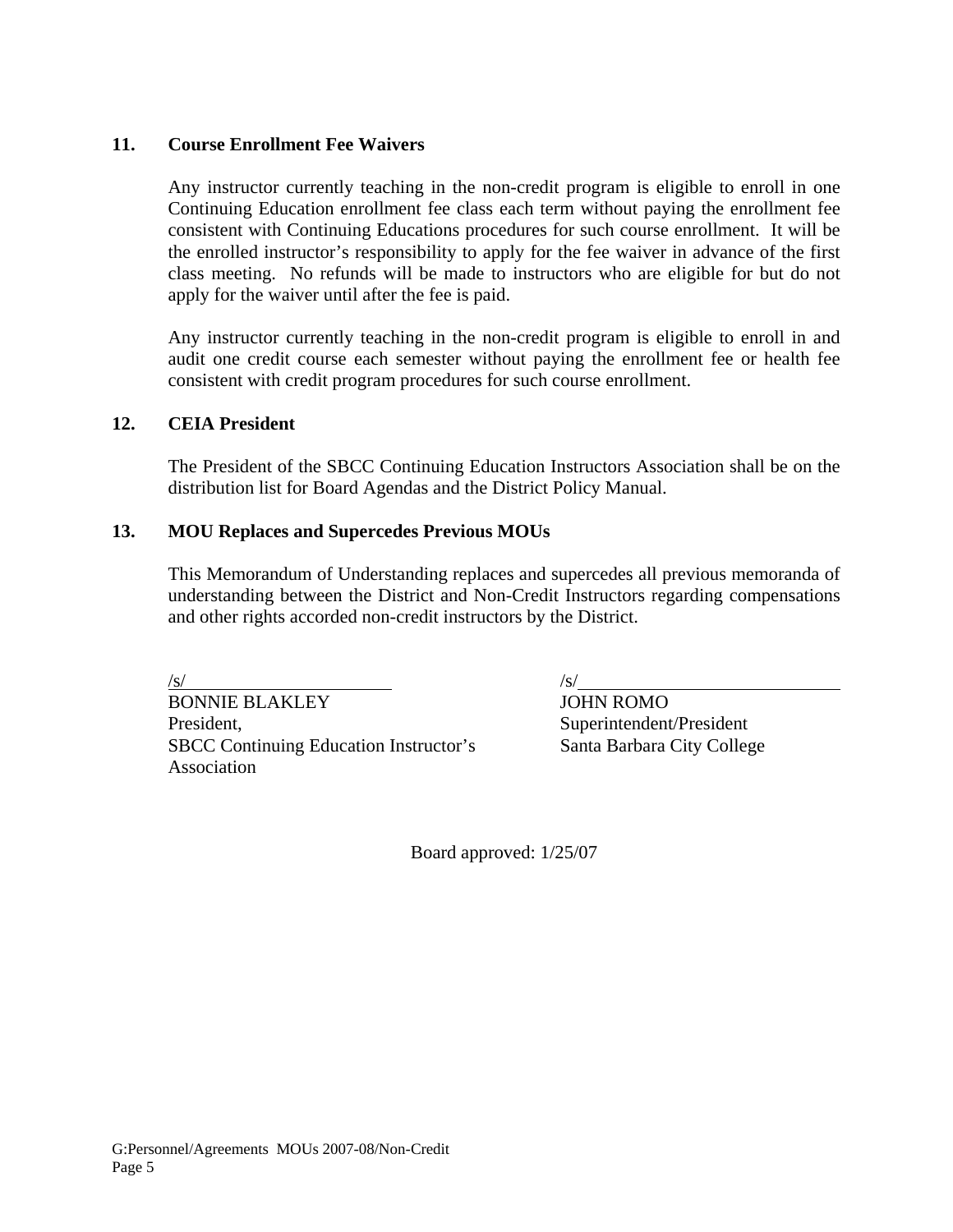#### **11. Course Enrollment Fee Waivers**

Any instructor currently teaching in the non-credit program is eligible to enroll in one Continuing Education enrollment fee class each term without paying the enrollment fee consistent with Continuing Educations procedures for such course enrollment. It will be the enrolled instructor's responsibility to apply for the fee waiver in advance of the first class meeting. No refunds will be made to instructors who are eligible for but do not apply for the waiver until after the fee is paid.

Any instructor currently teaching in the non-credit program is eligible to enroll in and audit one credit course each semester without paying the enrollment fee or health fee consistent with credit program procedures for such course enrollment.

#### **12. CEIA President**

The President of the SBCC Continuing Education Instructors Association shall be on the distribution list for Board Agendas and the District Policy Manual.

#### **13. MOU Replaces and Supercedes Previous MOUs**

This Memorandum of Understanding replaces and supercedes all previous memoranda of understanding between the District and Non-Credit Instructors regarding compensations and other rights accorded non-credit instructors by the District.

 $\sqrt{s}$ / $\sqrt{s}$ / $\sqrt{s}$ / $\sqrt{s}$ / $\sqrt{s}$ / $\sqrt{s}$ / $\sqrt{s}$ / $\sqrt{s}$ / $\sqrt{s}$ / $\sqrt{s}$ / $\sqrt{s}$ / $\sqrt{s}$ / $\sqrt{s}$ / $\sqrt{s}$ / $\sqrt{s}$ / $\sqrt{s}$ / $\sqrt{s}$ / $\sqrt{s}$ / $\sqrt{s}$ / $\sqrt{s}$ / $\sqrt{s}$ / $\sqrt{s}$ / $\sqrt{s}$ / $\sqrt{s}$ / $\sqrt{s}$ / $\sqrt{s}$ / $\sqrt{s}$ / $\sqrt{s}$ / $\sqrt{s}$ / $\sqrt{s}$ / $\sqrt{s}$ / $\sqrt{s$ 

BONNIE BLAKLEY JOHN ROMO President, Superintendent/President SBCC Continuing Education Instructor's Santa Barbara City College Association

Board approved: 1/25/07